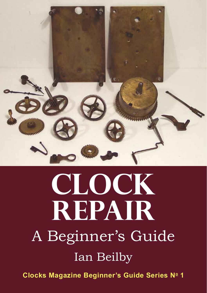

## **CLOCK REPAIR** A Beginner's Guide Ian Beilby

**Clocks Magazine Beginner's Guide Series Nº 1**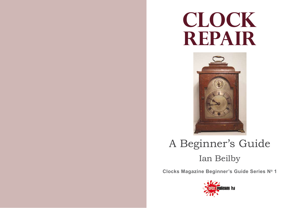# **CLOCK REPAIR**



### A Beginner's Guide Ian Beilby

**Clocks Magazine Beginner's Guide Series No 1** 

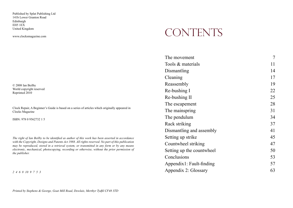Published by Splat Publishing Ltd 141b Lower Granton Road Edinburgh EH5 1EX United Kingdom

www.clocksmagazine.com

© 2008 Ian Beilby World copyright reserved Reprinted 2010

Clock Repair, A Beginner's Guide is based on a series of articles which originally appeared in Clocks Magazine

ISBN: 978 0 9562732 1 5

*The right of Ian Beilby to be identified as author of this work has been asserted in accordance with the Copyright, Designs and Patents Act 1988. All rights reserved. No part of this publication may be reproduced, stored in a retrieval system, or transmitted in any form or by any means electronic, mechanical, photocopying, recording or otherwise, without the prior permission of the publisher.*

*2 4 6 8 10 9 7 5 3* 

#### CONTENTS

| The movement              | 7  |
|---------------------------|----|
| Tools & materials         | 11 |
| Dismantling               | 14 |
| Cleaning                  | 17 |
| Reassembly                | 19 |
| Re-bushing I              | 22 |
| Re-bushing II             | 25 |
| The escapement            | 28 |
| The mainspring            | 31 |
| The pendulum              | 34 |
| Rack striking             | 37 |
| Dismantling and assembly  | 41 |
| Setting up strike         | 45 |
| Countwheel striking       | 47 |
| Setting up the countwheel | 50 |
| Conclusions               | 53 |
| Appendix1: Fault-finding  | 57 |
| Appendix 2: Glossary      | 63 |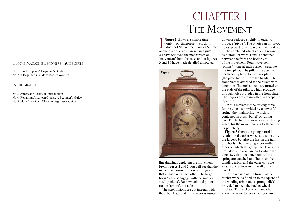#### CLOCKS MAGAZINE BEGINNER'S GUIDE SERI a ' s

No 1. Clock Repair, A Beginner's Guide No 2. A Beginner's Guide to Pocket Watches

IN PREPARATION

No 3. American Clocks, an Introduction No 4. Repairing American Clocks, A Beginner's Guide No 5. Make Your Own Clock, A Beginner's Guide

#### CHAPTER 1 THE MOVEMENT

Figure 1 shows a a simple time-<br>
only—or 'timepiece'—clock: it<br>
does not 'strike' the hours or 'chime'<br>
on the quarters You can see in fours **igure 1** shows a a simple time- $\rightarrow$  only—or 'timepiece'—clock: it on the quarters. You can see in **figure 2** I have removed the mechanism or 'movement' from the case, and in **figures 3** and **5** I have made detailed annotated



line drawings depicting the movement. From **figures 2** and **3** you will see that the movement consists of a series of gears that engage with each other. The large brass 'wheels' engage with the smaller steel 'pinions'. Both wheels and pinions run on 'arbors', not axles!

The steel pinions are cut integral with the arbor. Each end of the arbor is turned

down or reduced slightly in order to produce 'pivots'. The pivots run in 'pivot holes' provided in the movement 'plates'.

The combined wheelwork is known as a 'train' of wheels and is contained between the front and back plate of the movement. Four movement 'pillars'—one at each corner—separate the two plates. The pillars are usually permanently fixed to the back plate (the plate furthest from the hands). The front plate is attached to the pillars with taper pins. Tapered spigots are turned on the ends of the pillars, which protrude through holes provided in the front plate. The spigots are cross-drilled to accept the taper pins.

On this movement the driving force for the clock is provided by a powerful spring, the 'mainspring', which is contained in brass 'barrel' or 'going barrel'. The barrel also acts as the driving wheel for the movement via teeth cut into its periphery

**Figure 3** shows the going barrel in relation to the other wheels, it is not only the largest, but also the first in the train of wheels. The 'winding arbor'—the arbor on which the going barrel runs—is provided with a square on to which the clock key fits. The inner coils of the spring are attached to a 'hook' on the winding arbor, and the outer coils are attached to a hook in the wall of the barrel.

On the outside of the front plate a ratchet wheel is fitted on to the square of the winding arbor and a sprung 'click' provided to keep the ratchet wheel in place. The ratchet wheel and click allow the arbor to turn in a clockwise